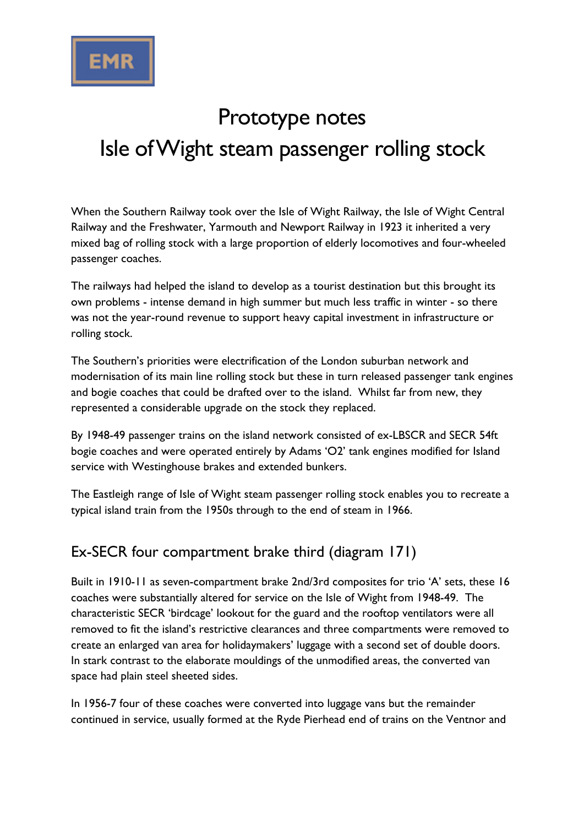

# Prototype notes Isle of Wight steam passenger rolling stock

When the Southern Railway took over the Isle of Wight Railway, the Isle of Wight Central Railway and the Freshwater, Yarmouth and Newport Railway in 1923 it inherited a very mixed bag of rolling stock with a large proportion of elderly locomotives and four-wheeled passenger coaches.

The railways had helped the island to develop as a tourist destination but this brought its own problems - intense demand in high summer but much less traffic in winter - so there was not the year-round revenue to support heavy capital investment in infrastructure or rolling stock.

The Southern's priorities were electrification of the London suburban network and modernisation of its main line rolling stock but these in turn released passenger tank engines and bogie coaches that could be drafted over to the island. Whilst far from new, they represented a considerable upgrade on the stock they replaced.

By 1948-49 passenger trains on the island network consisted of ex-LBSCR and SECR 54ft bogie coaches and were operated entirely by Adams 'O2' tank engines modified for Island service with Westinghouse brakes and extended bunkers.

The Eastleigh range of Isle of Wight steam passenger rolling stock enables you to recreate a typical island train from the 1950s through to the end of steam in 1966.

## Ex-SECR four compartment brake third (diagram 171)

Built in 1910-11 as seven-compartment brake 2nd/3rd composites for trio 'A' sets, these 16 coaches were substantially altered for service on the Isle of Wight from 1948-49. The characteristic SECR 'birdcage' lookout for the guard and the rooftop ventilators were all removed to fit the island's restrictive clearances and three compartments were removed to create an enlarged van area for holidaymakers' luggage with a second set of double doors. In stark contrast to the elaborate mouldings of the unmodified areas, the converted van space had plain steel sheeted sides.

In 1956-7 four of these coaches were converted into luggage vans but the remainder continued in service, usually formed at the Ryde Pierhead end of trains on the Ventnor and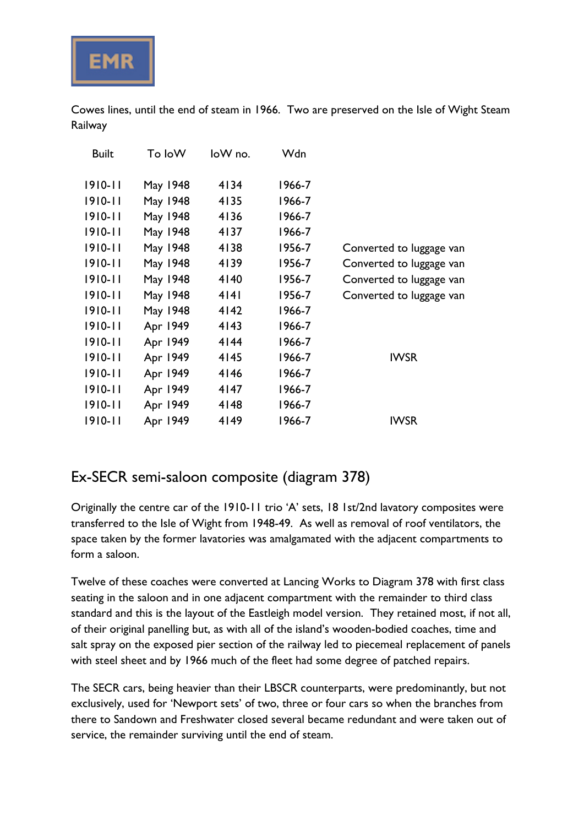

Cowes lines, until the end of steam in 1966. Two are preserved on the Isle of Wight Steam Railway

| <b>Built</b> | To loW   | loW no. | Wdn    |                          |
|--------------|----------|---------|--------|--------------------------|
| $1910 - 11$  | May 1948 | 4134    | 1966-7 |                          |
| $1910 - 11$  | May 1948 | 4135    | 1966-7 |                          |
| $1910 - 11$  | May 1948 | 4136    | 1966-7 |                          |
| $1910 - 11$  | May 1948 | 4137    | 1966-7 |                          |
| $1910 - 11$  | May 1948 | 4138    | 1956-7 | Converted to luggage van |
| $1910 - 11$  | May 1948 | 4139    | 1956-7 | Converted to luggage van |
| $1910 - 11$  | May 1948 | 4140    | 1956-7 | Converted to luggage van |
| $1910 - 11$  | May 1948 | 4 4     | 1956-7 | Converted to luggage van |
| $1910 - 11$  | May 1948 | 4142    | 1966-7 |                          |
| $1910 - 11$  | Apr 1949 | 4143    | 1966-7 |                          |
| $1910 - 11$  | Apr 1949 | 4144    | 1966-7 |                          |
| $1910 - 11$  | Apr 1949 | 4145    | 1966-7 | <b>IWSR</b>              |
| $1910 - 11$  | Apr 1949 | 4146    | 1966-7 |                          |
| $1910 - 11$  | Apr 1949 | 4147    | 1966-7 |                          |
| $1910 - 11$  | Apr 1949 | 4148    | 1966-7 |                          |
| $1910 - 11$  | Apr 1949 | 4149    | 1966-7 | <b>IWSR</b>              |

### Ex-SECR semi-saloon composite (diagram 378)

Originally the centre car of the 1910-11 trio 'A' sets, 18 1st/2nd lavatory composites were transferred to the Isle of Wight from 1948-49. As well as removal of roof ventilators, the space taken by the former lavatories was amalgamated with the adjacent compartments to form a saloon.

Twelve of these coaches were converted at Lancing Works to Diagram 378 with first class seating in the saloon and in one adjacent compartment with the remainder to third class standard and this is the layout of the Eastleigh model version. They retained most, if not all, of their original panelling but, as with all of the island's wooden-bodied coaches, time and salt spray on the exposed pier section of the railway led to piecemeal replacement of panels with steel sheet and by 1966 much of the fleet had some degree of patched repairs.

The SECR cars, being heavier than their LBSCR counterparts, were predominantly, but not exclusively, used for 'Newport sets' of two, three or four cars so when the branches from there to Sandown and Freshwater closed several became redundant and were taken out of service, the remainder surviving until the end of steam.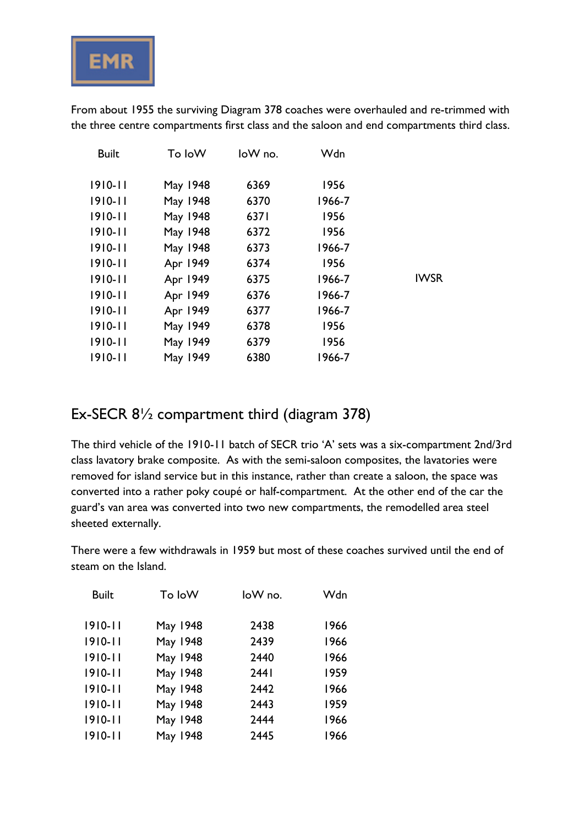

From about 1955 the surviving Diagram 378 coaches were overhauled and re-trimmed with the three centre compartments first class and the saloon and end compartments third class.

| <b>Built</b> | To loW   | loW no. | Wdn    |             |
|--------------|----------|---------|--------|-------------|
| $1910 - 11$  | May 1948 | 6369    | 1956   |             |
| $1910 - 11$  | May 1948 | 6370    | 1966-7 |             |
| $1910 - 11$  | May 1948 | 6371    | 1956   |             |
| $1910 - 11$  | May 1948 | 6372    | 1956   |             |
| $1910 - 11$  | May 1948 | 6373    | 1966-7 |             |
| $1910 - 11$  | Apr 1949 | 6374    | 1956   |             |
| $1910 - 11$  | Apr 1949 | 6375    | 1966-7 | <b>IWSR</b> |
| $1910 - 11$  | Apr 1949 | 6376    | 1966-7 |             |
| $1910 - 11$  | Apr 1949 | 6377    | 1966-7 |             |
| $1910 - 11$  | May 1949 | 6378    | 1956   |             |
| $1910 - 11$  | May 1949 | 6379    | 1956   |             |
| $1910 - 11$  | May 1949 | 6380    | 1966-7 |             |
|              |          |         |        |             |

#### Ex-SECR 8½ compartment third (diagram 378)

The third vehicle of the 1910-11 batch of SECR trio 'A' sets was a six-compartment 2nd/3rd class lavatory brake composite. As with the semi-saloon composites, the lavatories were removed for island service but in this instance, rather than create a saloon, the space was converted into a rather poky coupé or half-compartment. At the other end of the car the guard's van area was converted into two new compartments, the remodelled area steel sheeted externally.

There were a few withdrawals in 1959 but most of these coaches survived until the end of steam on the Island.

| <b>Built</b> | To loW   | loW no.          | Wdn  |
|--------------|----------|------------------|------|
|              |          |                  |      |
| $1910 - 11$  | May 1948 | 2438             | 1966 |
| $1910 - 11$  | May 1948 | 2439             | 1966 |
| $1910 - 11$  | May 1948 | 2440             | 1966 |
| $1910 - 11$  | May 1948 | 244 <sub>1</sub> | 1959 |
| $1910 - 11$  | May 1948 | 2442             | 1966 |
| $1910 - 11$  | May 1948 | 2443             | 1959 |
| $1910 - 11$  | May 1948 | 2444             | 1966 |
| $1910 - 11$  | May 1948 | 2445             | 1966 |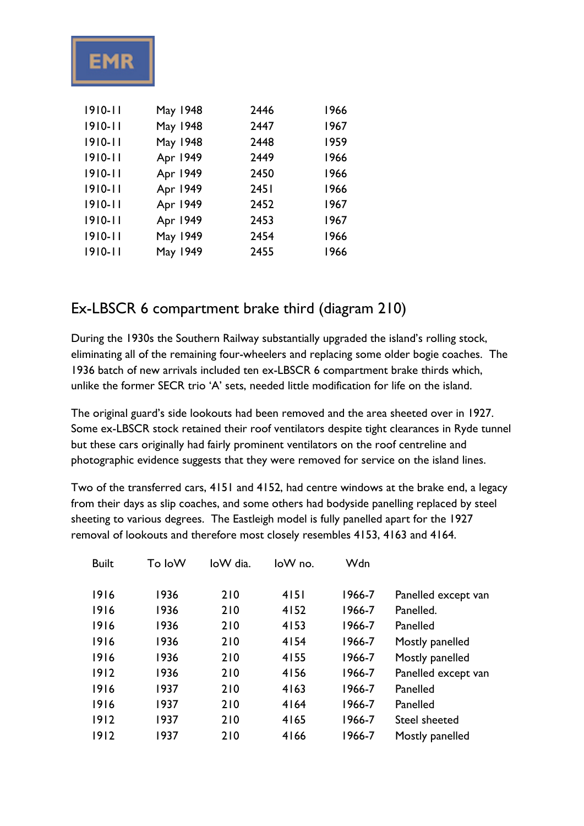

| $1910 - 11$ | May 1948 | 2446 | 1966 |
|-------------|----------|------|------|
| $1910 - 11$ | May 1948 | 2447 | 1967 |
| $1910 - 11$ | May 1948 | 2448 | 1959 |
| $1910 - 11$ | Apr 1949 | 2449 | 1966 |
| $1910 - 11$ | Apr 1949 | 2450 | 1966 |
| $1910 - 11$ | Apr 1949 | 2451 | 1966 |
| $1910 - 11$ | Apr 1949 | 2452 | 1967 |
| $1910 - 11$ | Apr 1949 | 2453 | 1967 |
| $1910 - 11$ | May 1949 | 2454 | 1966 |
| $1910 - 11$ | May 1949 | 2455 | 1966 |

### Ex-LBSCR 6 compartment brake third (diagram 210)

During the 1930s the Southern Railway substantially upgraded the island's rolling stock, eliminating all of the remaining four-wheelers and replacing some older bogie coaches. The 1936 batch of new arrivals included ten ex-LBSCR 6 compartment brake thirds which, unlike the former SECR trio 'A' sets, needed little modification for life on the island.

The original guard's side lookouts had been removed and the area sheeted over in 1927. Some ex-LBSCR stock retained their roof ventilators despite tight clearances in Ryde tunnel but these cars originally had fairly prominent ventilators on the roof centreline and photographic evidence suggests that they were removed for service on the island lines.

Two of the transferred cars, 4151 and 4152, had centre windows at the brake end, a legacy from their days as slip coaches, and some others had bodyside panelling replaced by steel sheeting to various degrees. The Eastleigh model is fully panelled apart for the 1927 removal of lookouts and therefore most closely resembles 4153, 4163 and 4164.

| <b>Built</b> | To loW | loW dia. | loW no. | Wdn    |                     |
|--------------|--------|----------|---------|--------|---------------------|
|              |        |          |         |        |                     |
| 1916         | 1936   | 210      | 4151    | 1966-7 | Panelled except van |
| 1916         | 1936   | 210      | 4152    | 1966-7 | Panelled.           |
| 1916         | 1936   | 210      | 4153    | 1966-7 | Panelled            |
| 1916         | 1936   | 210      | 4154    | 1966-7 | Mostly panelled     |
| 1916         | 1936   | 210      | 4155    | 1966-7 | Mostly panelled     |
| 1912         | 1936   | 210      | 4156    | 1966-7 | Panelled except van |
| 1916         | 1937   | 210      | 4163    | 1966-7 | Panelled            |
| 1916         | 1937   | 210      | 4164    | 1966-7 | Panelled            |
| 1912         | 1937   | 210      | 4165    | 1966-7 | Steel sheeted       |
| 1912         | 1937   | 210      | 4166    | 1966-7 | Mostly panelled     |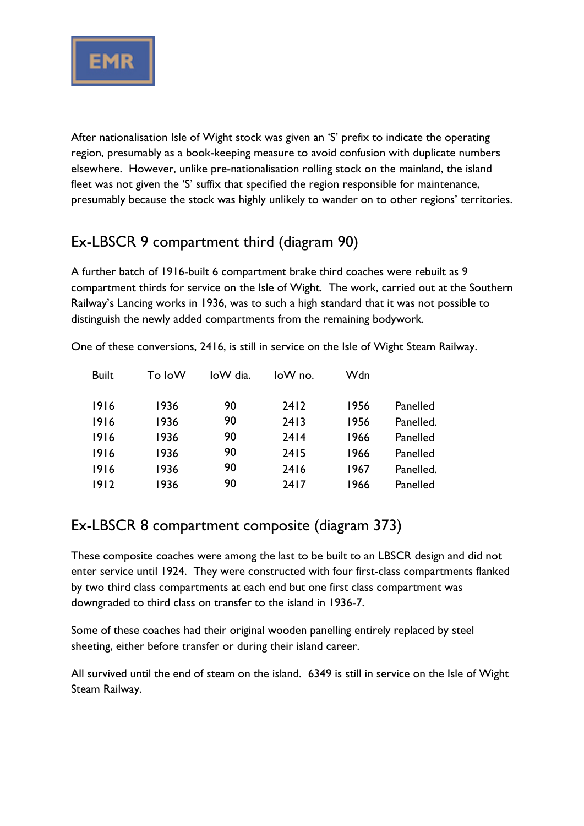

After nationalisation Isle of Wight stock was given an 'S' prefix to indicate the operating region, presumably as a book-keeping measure to avoid confusion with duplicate numbers elsewhere. However, unlike pre-nationalisation rolling stock on the mainland, the island fleet was not given the 'S' suffix that specified the region responsible for maintenance, presumably because the stock was highly unlikely to wander on to other regions' territories.

## Ex-LBSCR 9 compartment third (diagram 90)

A further batch of 1916-built 6 compartment brake third coaches were rebuilt as 9 compartment thirds for service on the Isle of Wight. The work, carried out at the Southern Railway's Lancing works in 1936, was to such a high standard that it was not possible to distinguish the newly added compartments from the remaining bodywork.

| <b>Built</b> | To loW | loW dia. | $low$ no. | Wdn  |           |
|--------------|--------|----------|-----------|------|-----------|
| 1916         | 1936   | 90       | 2412      | 1956 | Panelled  |
| 1916         | 1936   | 90       | 2413      | 1956 | Panelled. |
| 1916         | 1936   | 90       | 2414      | 1966 | Panelled  |
| 1916         | 1936   | 90       | 2415      | 1966 | Panelled  |
| 1916         | 1936   | 90       | 2416      | 1967 | Panelled. |
| 1912         | 1936   | 90       | 2417      | 1966 | Panelled  |

One of these conversions, 2416, is still in service on the Isle of Wight Steam Railway.

### Ex-LBSCR 8 compartment composite (diagram 373)

These composite coaches were among the last to be built to an LBSCR design and did not enter service until 1924. They were constructed with four first-class compartments flanked by two third class compartments at each end but one first class compartment was downgraded to third class on transfer to the island in 1936-7.

Some of these coaches had their original wooden panelling entirely replaced by steel sheeting, either before transfer or during their island career.

All survived until the end of steam on the island. 6349 is still in service on the Isle of Wight Steam Railway.